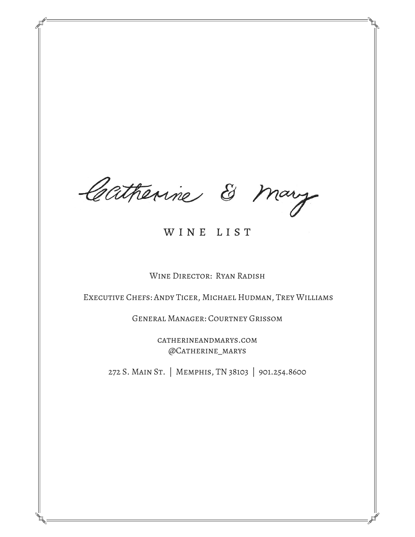Catherine & mary

#### WINE LIST

#### Wine Director: Ryan Radish

Executive Chefs: Andy Ticer, Michael Hudman, Trey Williams

General Manager: Courtney Grissom

catherineandmarys.com @Catherine\_marys

272 S. Main St. | Memphis, TN 38103 | 901.254.8600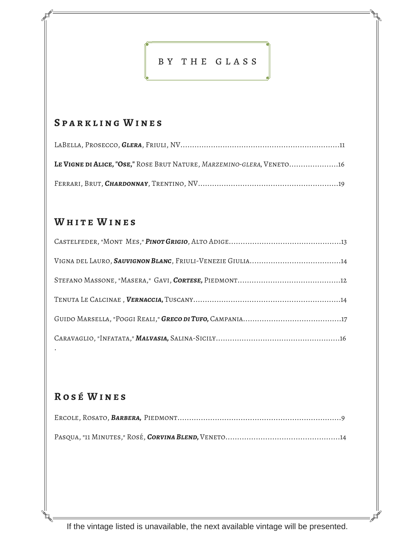### b y t h e g l a s s

### **S p a r k l i n g W i n e s**

| LE VIGNE DI ALICE, "OSE," ROSE BRUT NATURE, MARZEMINO-GLERA, VENETO16 |
|-----------------------------------------------------------------------|
|                                                                       |

## **W h i t e W i n e s**

# **R o s é W i n e s**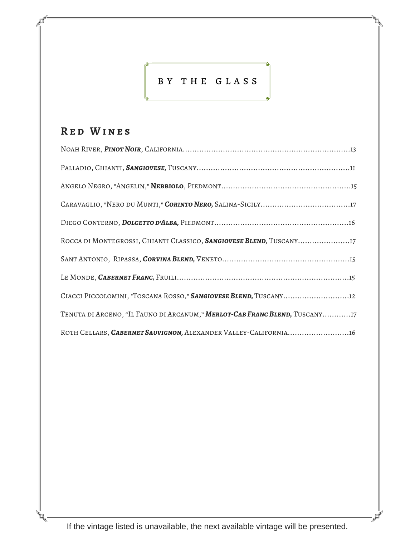#### b y t h e g l a s s

# **R e d W i n e s**

| ROCCA DI MONTEGROSSI, CHIANTI CLASSICO, SANGIOVESE BLEND, TUSCANY17        |
|----------------------------------------------------------------------------|
|                                                                            |
|                                                                            |
| CIACCI PICCOLOMINI, "TOSCANA ROSSO," SANGIOVESE BLEND, TUSCANY12           |
| TENUTA DI ARCENO, "IL FAUNO DI ARCANUM," MERLOT-CAB FRANC BLEND, TUSCANY17 |
| ROTH CELLARS, CABERNET SAUVIGNON, ALEXANDER VALLEY-CALIFORNIA16            |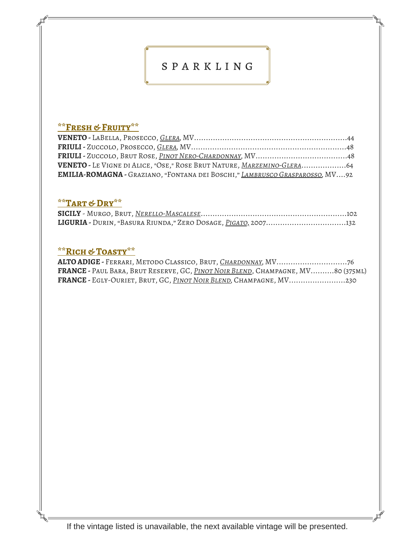### s p a r k l i n g

#### **\*\*Fresh & Fruity\*\***

| VENETO - LE VIGNE DI ALICE, "OSE," ROSE BRUT NATURE, MARZEMINO-GLERA64             |  |
|------------------------------------------------------------------------------------|--|
| <b>EMILIA-ROMAGNA-</b> GRAZIANO, "FONTANA DEI BOSCHI," LAMBRUSCO GRASPAROSSO, MV92 |  |

#### **\*\*Tart & Dry\*\***

| LIGURIA - DURIN, "BASURA RIUNDA," ZERO DOSAGE, PIGATO, 2007132 |  |
|----------------------------------------------------------------|--|

#### **\*\*Rich & Toasty\*\***

**ALTO ADIGE -** Ferrari, Metodo Classico, Brut, *Chardonnay,* MV..............................76 FRANCE - PAUL BARA, BRUT RESERVE, GC, *PINOT NOIR BLEND*, CHAMPAGNE, MV..........80 (375ML) FRANCE - EGLY-OURIET, BRUT, GC, *PINOT NOIR BLEND*, CHAMPAGNE, MV........................230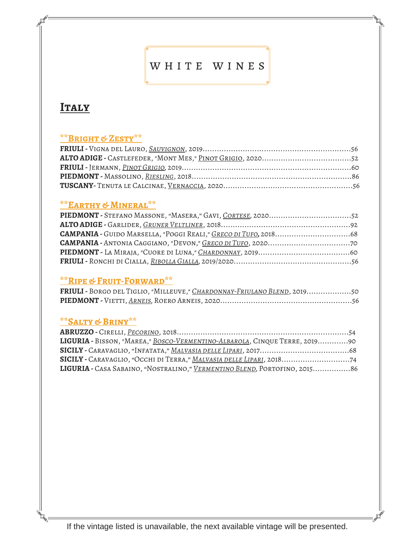# WHITE WINES

# **Italy**

### **\*\*Bright & Zesty\*\***

## **\*\*Earthy & Mineral\*\***

# **\*\*Ripe & Fruit-Forward\*\***

| FRIULI - BORGO DEL TIGLIO, "MILLEUVE," CHARDONNAY-FRIULANO BLEND, 201950 |  |
|--------------------------------------------------------------------------|--|
|                                                                          |  |

### **\*\*Salty & Briny\*\***

| LIGURIA - BISSON, "MAREA," BOSCO-VERMENTINO-ALBAROLA, CINQUE TERRE, 201990 |  |
|----------------------------------------------------------------------------|--|
|                                                                            |  |
| SICILY - CARAVAGLIO, "OCCHI DI TERRA," MALVASIA DELLE LIPARI, 2018         |  |
| LIGURIA - CASA SABAINO, "NOSTRALINO," VERMENTINO BLEND, PORTOFINO, 201586  |  |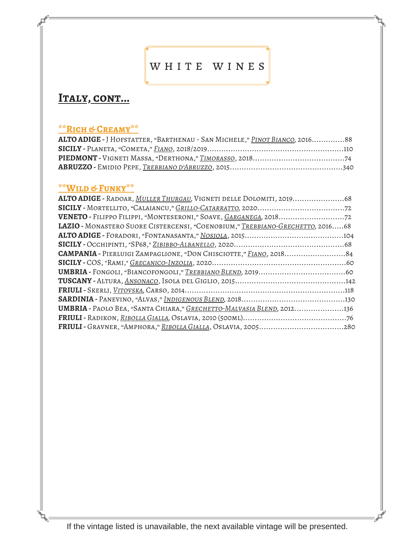# WHITE WINES

# **Italy, cont...**

## **\*\*Rich & Creamy\*\***

| ALTO ADIGE - J HOFSTATTER, "BARTHENAU - SAN MICHELE," PINOT BIANCO, 201688 |  |
|----------------------------------------------------------------------------|--|
|                                                                            |  |
|                                                                            |  |
|                                                                            |  |

## **\*\*Wild & Funky\*\***

| ALTO ADIGE - RADOAR, MULLER THURGAU, VIGNETI DELLE DOLOMITI, 201968           |  |
|-------------------------------------------------------------------------------|--|
|                                                                               |  |
|                                                                               |  |
| LAZIO - MONASTERO SUORE CISTERCENSI, "COENOBIUM," TREBBIANO-GRECHETTO, 201668 |  |
|                                                                               |  |
|                                                                               |  |
|                                                                               |  |
|                                                                               |  |
|                                                                               |  |
|                                                                               |  |
|                                                                               |  |
|                                                                               |  |
| UMBRIA - PAOLO BEA, "SANTA CHIARA," GRECHETTO-MALVASIA BLEND, 2012136         |  |
|                                                                               |  |
|                                                                               |  |
|                                                                               |  |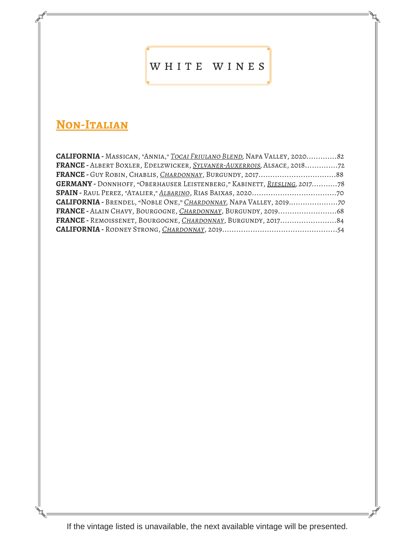# w h i t e w i n e s

# **Non-Italian**

| CALIFORNIA - MASSICAN, "ANNIA," TOCAI FRIULANO BLEND, NAPA VALLEY, 202082 |  |
|---------------------------------------------------------------------------|--|
| FRANCE - ALBERT BOXLER, EDELZWICKER, SYLVANER-AUXERROIS, ALSACE, 201872   |  |
|                                                                           |  |
| GERMANY - DONNHOFF, "OBERHAUSER LEISTENBERG," KABINETT, RIESLING, 201778  |  |
|                                                                           |  |
|                                                                           |  |
|                                                                           |  |
|                                                                           |  |
|                                                                           |  |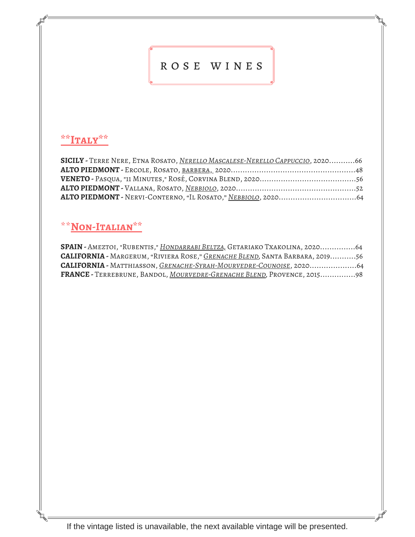# r o s e w i n e s

# **\*\*Italy\*\***

| <b>SICILY</b> - TERRE NERE, ETNA ROSATO, NERELLO MASCALESE-NERELLO CAPPUCCIO, 202066 |  |
|--------------------------------------------------------------------------------------|--|
|                                                                                      |  |
|                                                                                      |  |
|                                                                                      |  |
|                                                                                      |  |

# \*\***Non-Italian\*\***

| <b>SPAIN -</b> AMEZTOI, "RUBENTIS," HONDARRABI BELTZA, GETARIAKO TXAKOLINA, 202064  |
|-------------------------------------------------------------------------------------|
| <b>CALIFORNIA -</b> MARGERUM, "RIVIERA ROSE," GRENACHE BLEND, SANTA BARBARA, 201956 |
| CALIFORNIA - MATTHIASSON, GRENACHE-SYRAH-MOURVEDRE-COUNOISE, 202064                 |
| FRANCE - TERREBRUNE, BANDOL, MOURVEDRE-GRENACHE BLEND, PROVENCE, 201598             |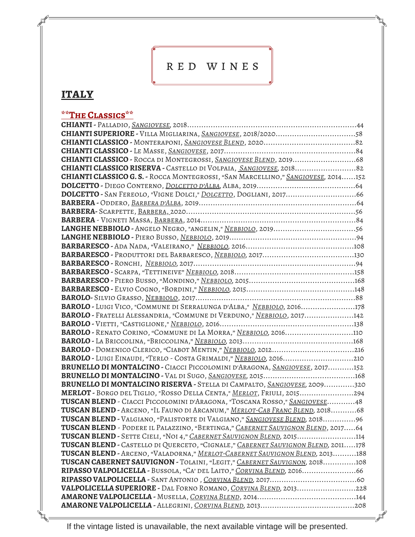# **italy**

## **\*\*The Classics\*\***

| <b>CHIANTI CLASSICO RISERVA - CASTELLO DI VOLPAIA, SANGIOVESE, 201832</b>                |
|------------------------------------------------------------------------------------------|
| <b>CHIANTI CLASSICO G. S. - ROCCA MONTEGROSSI, "SAN MARCELLINO," SANGIOVESE, 2014152</b> |
|                                                                                          |
| DOLCETTO - SAN FEREOLO, "VIGNE DOLCI," DOLCETTO, DOGLIANI, 201766                        |
|                                                                                          |
|                                                                                          |
|                                                                                          |
| LANGHE NEBBIOLO - ANGELO NEGRO, "ANGELIN," NEBBIOLO, 201956                              |
|                                                                                          |
|                                                                                          |
|                                                                                          |
|                                                                                          |
|                                                                                          |
|                                                                                          |
|                                                                                          |
|                                                                                          |
| BAROLO - LUIGI VICO, "COMMUNE DI SERRALUNGA D'ALBA," NEBBIOLO, 2016178                   |
| BAROLO - FRATELLI ALESSANDRIA, "COMMUNE DI VERDUNO," NEBBIOLO, 2017142                   |
|                                                                                          |
| BAROLO - RENATO CORINO, "COMMUNE DI LA MORRA," NEBBIOLO, 2016110                         |
|                                                                                          |
| BAROLO - DOMENICO CLERICO, "CIABOT MENTIN," NEBBIOLO, 2012216                            |
| BAROLO - LUIGI EINAUDI, "TERLO - COSTA GRIMALDI," NEBBIOLO, 2016210                      |
| BRUNELLO DI MONTALCINO - CIACCI PICCOLOMINI D'ARAGONA, SANGIOVESE, 2017152               |
|                                                                                          |
| BRUNELLO DI MONTALCINO RISERVA - STELLA DI CAMPALTO, SANGIOVESE, 2009320                 |
| MERLOT - BORGO DEL TIGLIO, "ROSSO DELLA CENTA," MERLOT, FRIULI, 2015294                  |
| TUSCAN BLEND - CIACCI PICCOLOMINI D'ARAGONA, "TOSCANA ROSSO," SANGIOVESE48               |
| TUSCAN BLEND - ARCENO, "IL FAUNO DI ARCANUM," MERLOT-CAB FRANC BLEND, 201868             |
| TUSCAN BLEND - VALGIANO, "PALISTORTE DI VALGIANO," SANGIOVESE BLEND, 201896              |
| TUSCAN BLEND - PODERE IL PALAZZINO, "BERTINGA," CABERNET SAUVIGNON BLEND, 201764         |
| TUSCAN BLEND - SETTE CIELI, "NOI 4," CABERNET SAUVIGNON BLEND, 2015114                   |
| TUSCAN BLEND - CASTELLO DI QUERCETO, "CIGNALE," CABERNET SAUVIGNON BLEND, 2011178        |
| TUSCAN BLEND - ARCENO, "VALADORNA," MERLOT-CABERNET SAUVIGNON BLEND, 2013188             |
| TUSCAN CABERNET SAUVIGNON - TOLAINI, "LEGIT," CABERNET SAUVIGNON, 2018108                |
| RIPASSO VALPOLICELLA - BUSSOLA, "CA' DEL LAITO," CORVINA BLEND, 201666                   |
|                                                                                          |
| VALPOLICELLA SUPERIORE - DAL FORNO ROMANO, CORVINA BLEND, 2013228                        |
|                                                                                          |
|                                                                                          |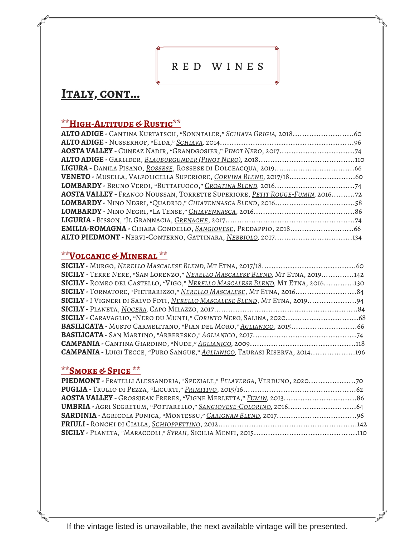# **Italy, cont...**

### **\*\*High-Altitude & Rustic\*\***

| ALTO ADIGE - CANTINA KURTATSCH, "SONNTALER," SCHIAVA GRIGIA, 201860          |  |
|------------------------------------------------------------------------------|--|
|                                                                              |  |
|                                                                              |  |
|                                                                              |  |
|                                                                              |  |
| VENETO - MUSELLA, VALPOLICELLA SUPERIORE, CORVINA BLEND, 2017/1860           |  |
|                                                                              |  |
| AOSTA VALLEY - FRANCO NOUSSAN, TORRETTE SUPERIORE, PETIT ROUGE-FUMIN, 201672 |  |
|                                                                              |  |
|                                                                              |  |
|                                                                              |  |
| EMILIA-ROMAGNA - CHIARA CONDELLO, SANGIOVESE, PREDAPPIO, 201866              |  |
| ALTO PIEDMONT - NERVI-CONTERNO, GATTINARA, NEBBIOLO, 2017134                 |  |

## **\*\*Volcanic & Mineral \*\***

| SICILY - TERRE NERE, "SAN LORENZO," NERELLO MASCALESE BLEND, MT ETNA, 2019142     |  |
|-----------------------------------------------------------------------------------|--|
| SICILY - ROMEO DEL CASTELLO, "VIGO," NERELLO MASCALESE BLEND, MT ETNA, 2016130    |  |
| SICILY - TORNATORE, "PIETRARIZZO," NERELLO MASCALESE, MT ETNA, 201684             |  |
| SICILY - I VIGNERI DI SALVO FOTI, NERELLO MASCALESE BLEND, MT ETNA, 201994        |  |
|                                                                                   |  |
|                                                                                   |  |
| BASILICATA - MUSTO CARMELITANO, "PIAN DEL MORO," AGLIANICO, 201566                |  |
|                                                                                   |  |
|                                                                                   |  |
| <b>CAMPANIA - LUIGI TECCE, "PURO SANGUE," AGLIANICO, TAURASI RISERVA, 2014196</b> |  |

### **\*\*Smoke & Spice \*\***

| PIEDMONT - FRATELLI ALESSANDRIA, "SPEZIALE," PELAVERGA, VERDUNO, 202070 |  |
|-------------------------------------------------------------------------|--|
|                                                                         |  |
|                                                                         |  |
|                                                                         |  |
|                                                                         |  |
|                                                                         |  |
|                                                                         |  |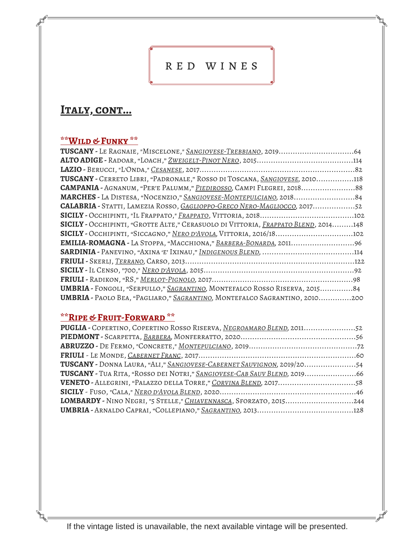# **Italy, cont...**

### **\*\*Wild & Funky \*\***

| TUSCANY - CERRETO LIBRI, "PADRONALE," ROSSO DI TOSCANA, SANGIOVESE, 2010118        |  |
|------------------------------------------------------------------------------------|--|
| CAMPANIA - AGNANUM, "PER'E PALUMM," PIEDIROSSO, CAMPI FLEGREI, 2018 88             |  |
|                                                                                    |  |
| CALABRIA - STATTI, LAMEZIA ROSSO, GAGLIOPPO-GRECO NERO-MAGLIOCCO, 201752           |  |
|                                                                                    |  |
| SICILY - OCCHIPINTI, "GROTTE ALTE," CERASUOLO DI VITTORIA, FRAPPATO BLEND, 2014148 |  |
| SICILY - OCCHIPINTI, "SICCAGNO," NERO D'AVOLA, VITTORIA, 2016/18102                |  |
| EMILIA-ROMAGNA - LA STOPPA, "MACCHIONA," BARBERA-BONARDA, 201196                   |  |
| SARDINIA - PANEVINO, "AXINA 'E' IXINAU," INDIGENOUS BLEND, 114                     |  |
|                                                                                    |  |
|                                                                                    |  |
|                                                                                    |  |
| <b>UMBRIA - FONGOLI, "SERPULLO," SAGRANTINO, MONTEFALCO ROSSO RISERVA, 201584</b>  |  |
| <b>UMBRIA - PAOLO BEA, "PAGLIARO," SAGRANTINO, MONTEFALCO SAGRANTINO, 2010200</b>  |  |
|                                                                                    |  |

## **\*\*Ripe & Fruit-Forward \*\***

| PUGLIA - COPERTINO, COPERTINO ROSSO RISERVA, NEGROAMARO BLEND, 201152    |
|--------------------------------------------------------------------------|
|                                                                          |
|                                                                          |
|                                                                          |
| TUSCANY - DONNA LAURA, "ALI," SANGIOVESE-CABERNET SAUVIGNON, 2019/2054   |
| TUSCANY - TUA RITA, "ROSSO DEI NOTRI," SANGIOVESE-CAB SAUV BLEND, 201966 |
| VENETO - ALLEGRINI, "PALAZZO DELLA TORRE," CORVINA BLEND, 201758         |
|                                                                          |
| LOMBARDY - NINO NEGRI, "5 STELLE," CHIAVENNASCA, SFORZATO, 2015244       |
|                                                                          |
|                                                                          |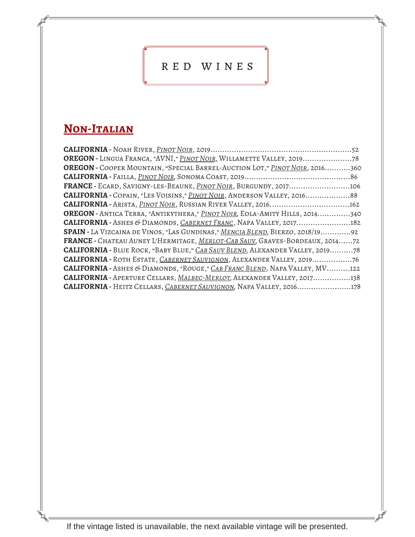$\mathbb{H}$ 

# **Non-Italian**

| OREGON - LINGUA FRANCA, "AVNI," PINOT NOIR, WILLAMETTE VALLEY, 2019                         |  |
|---------------------------------------------------------------------------------------------|--|
| OREGON - COOPER MOUNTAIN, "SPECIAL BARREL-AUCTION LOT," PINOT NOIR, 2016360                 |  |
|                                                                                             |  |
|                                                                                             |  |
| CALIFORNIA - COPAIN, "LES VOISINS," PINOT NOIR, ANDERSON VALLEY, 2016 88                    |  |
| <b>CALIFORNIA - ARISTA, PINOT NOIR, RUSSIAN RIVER VALLEY, 2016162</b>                       |  |
| OREGON - ANTICA TERRA, "ANTIKYTHERA," PINOT NOIR, EOLA-AMITY HILLS, 2014340                 |  |
| CALIFORNIA - ASHES & DIAMONDS, CABERNET FRANC, NAPA VALLEY, 2017182                         |  |
| <b>SPAIN -</b> LA VIZCAINA DE VINOS, "LAS GUNDINAS," <u>MENCIA BLEND,</u> BIERZO, 2018/1992 |  |
| FRANCE - CHATEAU AUNEY L'HERMITAGE, MERLOT-CAB SAUV, GRAVES-BORDEAUX, 201472                |  |
| <b>CALIFORNIA - BLUE ROCK, "BABY BLUE," CAB SAUV BLEND, ALEXANDER VALLEY, 201978</b>        |  |
| <b>CALIFORNIA - ROTH ESTATE, CABERNET SAUVIGNON, ALEXANDER VALLEY, 201976</b>               |  |
| <b>CALIFORNIA</b> - ASHES & DIAMONDS, "ROUGE," CAB FRANC BLEND, NAPA VALLEY, MV122          |  |
| <b>CALIFORNIA - APERTURE CELLARS, MALBEC-MERLOT, ALEXANDER VALLEY, 2017138</b>              |  |
| CALIFORNIA - HEITZ CELLARS, CABERNET SAUVIGNON, NAPA VALLEY, 2016178                        |  |